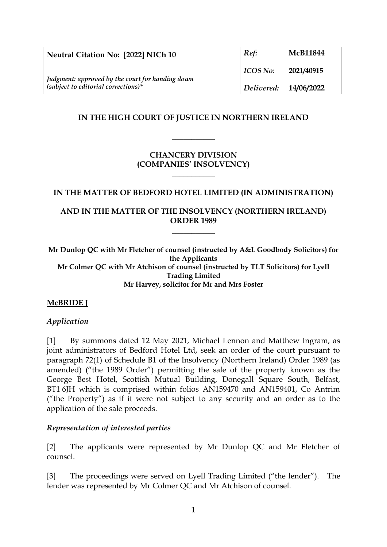| Neutral Citation No: [2022] NICh 10                                                       | Ref:                  | <b>McB11844</b> |
|-------------------------------------------------------------------------------------------|-----------------------|-----------------|
| Judgment: approved by the court for handing down<br>$(subject to editorial corrections)*$ | ICOS No:              | 2021/40915      |
|                                                                                           | Delivered: 14/06/2022 |                 |

## **IN THE HIGH COURT OF JUSTICE IN NORTHERN IRELAND**

**\_\_\_\_\_\_\_\_\_\_\_**

## **CHANCERY DIVISION (COMPANIES' INSOLVENCY)**

**\_\_\_\_\_\_\_\_\_\_\_**

### **IN THE MATTER OF BEDFORD HOTEL LIMITED (IN ADMINISTRATION)**

## **AND IN THE MATTER OF THE INSOLVENCY (NORTHERN IRELAND) ORDER 1989**

**\_\_\_\_\_\_\_\_\_\_\_**

**Mr Dunlop QC with Mr Fletcher of counsel (instructed by A&L Goodbody Solicitors) for the Applicants Mr Colmer QC with Mr Atchison of counsel (instructed by TLT Solicitors) for Lyell Trading Limited Mr Harvey, solicitor for Mr and Mrs Foster**

# **McBRIDE J**

### *Application*

[1] By summons dated 12 May 2021, Michael Lennon and Matthew Ingram, as joint administrators of Bedford Hotel Ltd, seek an order of the court pursuant to paragraph 72(1) of Schedule B1 of the Insolvency (Northern Ireland) Order 1989 (as amended) ("the 1989 Order") permitting the sale of the property known as the George Best Hotel, Scottish Mutual Building, Donegall Square South, Belfast, BT1 6JH which is comprised within folios AN159470 and AN159401, Co Antrim ("the Property") as if it were not subject to any security and an order as to the application of the sale proceeds.

### *Representation of interested parties*

[2] The applicants were represented by Mr Dunlop QC and Mr Fletcher of counsel.

[3] The proceedings were served on Lyell Trading Limited ("the lender"). The lender was represented by Mr Colmer QC and Mr Atchison of counsel.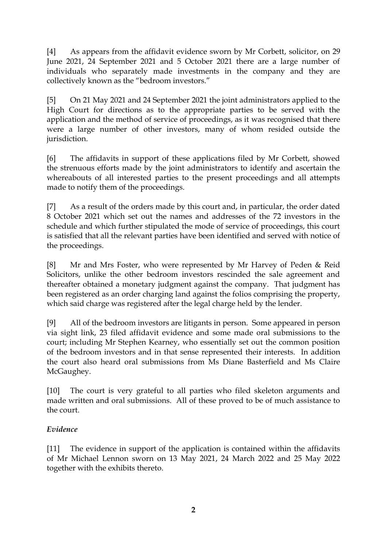[4] As appears from the affidavit evidence sworn by Mr Corbett, solicitor, on 29 June 2021, 24 September 2021 and 5 October 2021 there are a large number of individuals who separately made investments in the company and they are collectively known as the "bedroom investors."

[5] On 21 May 2021 and 24 September 2021 the joint administrators applied to the High Court for directions as to the appropriate parties to be served with the application and the method of service of proceedings, as it was recognised that there were a large number of other investors, many of whom resided outside the jurisdiction.

[6] The affidavits in support of these applications filed by Mr Corbett, showed the strenuous efforts made by the joint administrators to identify and ascertain the whereabouts of all interested parties to the present proceedings and all attempts made to notify them of the proceedings.

[7] As a result of the orders made by this court and, in particular, the order dated 8 October 2021 which set out the names and addresses of the 72 investors in the schedule and which further stipulated the mode of service of proceedings, this court is satisfied that all the relevant parties have been identified and served with notice of the proceedings.

[8] Mr and Mrs Foster, who were represented by Mr Harvey of Peden & Reid Solicitors, unlike the other bedroom investors rescinded the sale agreement and thereafter obtained a monetary judgment against the company. That judgment has been registered as an order charging land against the folios comprising the property, which said charge was registered after the legal charge held by the lender.

[9] All of the bedroom investors are litigants in person. Some appeared in person via sight link, 23 filed affidavit evidence and some made oral submissions to the court; including Mr Stephen Kearney, who essentially set out the common position of the bedroom investors and in that sense represented their interests. In addition the court also heard oral submissions from Ms Diane Basterfield and Ms Claire McGaughey.

[10] The court is very grateful to all parties who filed skeleton arguments and made written and oral submissions. All of these proved to be of much assistance to the court.

# *Evidence*

[11] The evidence in support of the application is contained within the affidavits of Mr Michael Lennon sworn on 13 May 2021, 24 March 2022 and 25 May 2022 together with the exhibits thereto.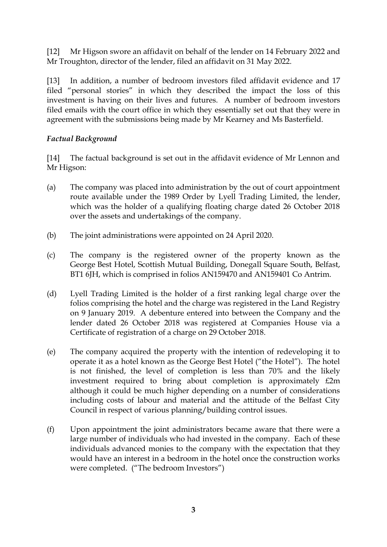[12] Mr Higson swore an affidavit on behalf of the lender on 14 February 2022 and Mr Troughton, director of the lender, filed an affidavit on 31 May 2022.

[13] In addition, a number of bedroom investors filed affidavit evidence and 17 filed "personal stories" in which they described the impact the loss of this investment is having on their lives and futures. A number of bedroom investors filed emails with the court office in which they essentially set out that they were in agreement with the submissions being made by Mr Kearney and Ms Basterfield.

# *Factual Background*

[14] The factual background is set out in the affidavit evidence of Mr Lennon and Mr Higson:

- (a) The company was placed into administration by the out of court appointment route available under the 1989 Order by Lyell Trading Limited, the lender, which was the holder of a qualifying floating charge dated 26 October 2018 over the assets and undertakings of the company.
- (b) The joint administrations were appointed on 24 April 2020.
- (c) The company is the registered owner of the property known as the George Best Hotel, Scottish Mutual Building, Donegall Square South, Belfast, BT1 6JH, which is comprised in folios AN159470 and AN159401 Co Antrim.
- (d) Lyell Trading Limited is the holder of a first ranking legal charge over the folios comprising the hotel and the charge was registered in the Land Registry on 9 January 2019. A debenture entered into between the Company and the lender dated 26 October 2018 was registered at Companies House via a Certificate of registration of a charge on 29 October 2018.
- (e) The company acquired the property with the intention of redeveloping it to operate it as a hotel known as the George Best Hotel ("the Hotel"). The hotel is not finished, the level of completion is less than 70% and the likely investment required to bring about completion is approximately £2m although it could be much higher depending on a number of considerations including costs of labour and material and the attitude of the Belfast City Council in respect of various planning/building control issues.
- (f) Upon appointment the joint administrators became aware that there were a large number of individuals who had invested in the company. Each of these individuals advanced monies to the company with the expectation that they would have an interest in a bedroom in the hotel once the construction works were completed. ("The bedroom Investors")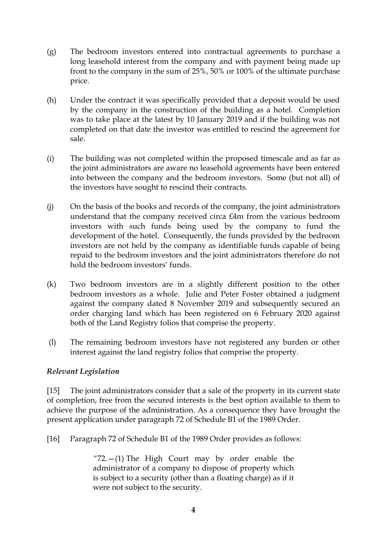- (g) The bedroom investors entered into contractual agreements to purchase a long leasehold interest from the company and with payment being made up front to the company in the sum of 25%, 50% or 100% of the ultimate purchase price.
- (h) Under the contract it was specifically provided that a deposit would be used by the company in the construction of the building as a hotel. Completion was to take place at the latest by 10 January 2019 and if the building was not completed on that date the investor was entitled to rescind the agreement for sale.
- (i) The building was not completed within the proposed timescale and as far as the joint administrators are aware no leasehold agreements have been entered into between the company and the bedroom investors. Some (but not all) of the investors have sought to rescind their contracts.
- (j) On the basis of the books and records of the company, the joint administrators understand that the company received circa £4m from the various bedroom investors with such funds being used by the company to fund the development of the hotel. Consequently, the funds provided by the bedroom investors are not held by the company as identifiable funds capable of being repaid to the bedroom investors and the joint administrators therefore do not hold the bedroom investors' funds.
- (k) Two bedroom investors are in a slightly different position to the other bedroom investors as a whole. Julie and Peter Foster obtained a judgment against the company dated 8 November 2019 and subsequently secured an order charging land which has been registered on 6 February 2020 against both of the Land Registry folios that comprise the property.
- (l) The remaining bedroom investors have not registered any burden or other interest against the land registry folios that comprise the property.

# *Relevant Legislation*

[15] The joint administrators consider that a sale of the property in its current state of completion, free from the secured interests is the best option available to them to achieve the purpose of the administration. As a consequence they have brought the present application under paragraph 72 of Schedule B1 of the 1989 Order.

[16] Paragraph 72 of Schedule B1 of the 1989 Order provides as follows:

"72. $-(1)$  The High Court may by order enable the administrator of a company to dispose of property which is subject to a security (other than a floating charge) as if it were not subject to the security.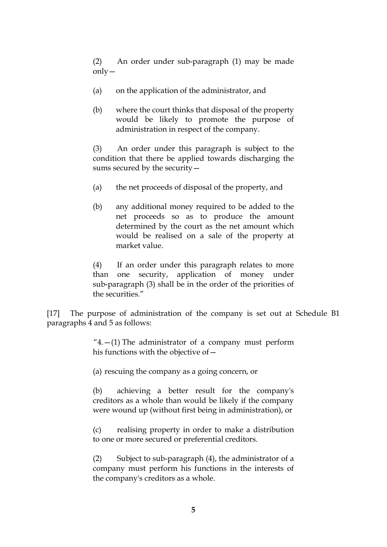(2) An order under sub-paragraph (1) may be made only—

- (a) on the application of the administrator, and
- (b) where the court thinks that disposal of the property would be likely to promote the purpose of administration in respect of the company.

(3) An order under this paragraph is subject to the condition that there be applied towards discharging the sums secured by the security—

- (a) the net proceeds of disposal of the property, and
- (b) any additional money required to be added to the net proceeds so as to produce the amount determined by the court as the net amount which would be realised on a sale of the property at market value.

(4) If an order under this paragraph relates to more than one security, application of money under sub-paragraph (3) shall be in the order of the priorities of the securities."

[17] The purpose of administration of the company is set out at Schedule B1 paragraphs 4 and 5 as follows:

> $4. - (1)$  The administrator of a company must perform his functions with the objective of—

(a) rescuing the company as a going concern, or

(b) achieving a better result for the company's creditors as a whole than would be likely if the company were wound up (without first being in administration), or

(c) realising property in order to make a distribution to one or more secured or preferential creditors.

(2) Subject to sub-paragraph (4), the administrator of a company must perform his functions in the interests of the company's creditors as a whole.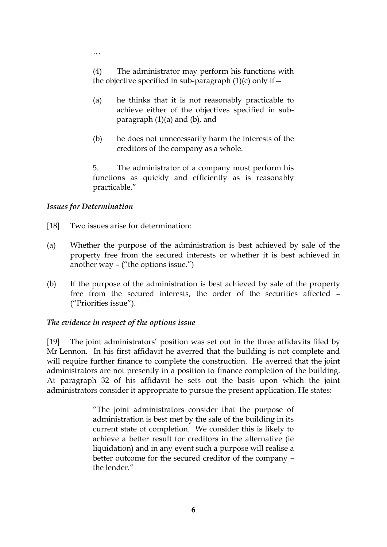(4) The administrator may perform his functions with the objective specified in sub-paragraph  $(1)(c)$  only if  $-$ 

- (a) he thinks that it is not reasonably practicable to achieve either of the objectives specified in subparagraph (1)(a) and (b), and
- (b) he does not unnecessarily harm the interests of the creditors of the company as a whole.

5. The administrator of a company must perform his functions as quickly and efficiently as is reasonably practicable."

## *Issues for Determination*

…

- [18] Two issues arise for determination:
- (a) Whether the purpose of the administration is best achieved by sale of the property free from the secured interests or whether it is best achieved in another way – ("the options issue.")
- (b) If the purpose of the administration is best achieved by sale of the property free from the secured interests, the order of the securities affected – ("Priorities issue").

### *The evidence in respect of the options issue*

[19] The joint administrators' position was set out in the three affidavits filed by Mr Lennon. In his first affidavit he averred that the building is not complete and will require further finance to complete the construction. He averred that the joint administrators are not presently in a position to finance completion of the building. At paragraph 32 of his affidavit he sets out the basis upon which the joint administrators consider it appropriate to pursue the present application. He states:

> "The joint administrators consider that the purpose of administration is best met by the sale of the building in its current state of completion. We consider this is likely to achieve a better result for creditors in the alternative (ie liquidation) and in any event such a purpose will realise a better outcome for the secured creditor of the company – the lender."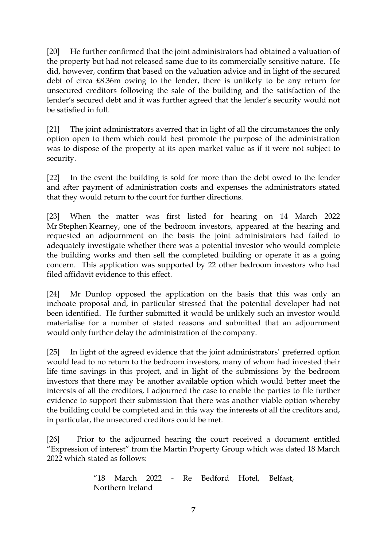[20] He further confirmed that the joint administrators had obtained a valuation of the property but had not released same due to its commercially sensitive nature. He did, however, confirm that based on the valuation advice and in light of the secured debt of circa £8.36m owing to the lender, there is unlikely to be any return for unsecured creditors following the sale of the building and the satisfaction of the lender's secured debt and it was further agreed that the lender's security would not be satisfied in full.

[21] The joint administrators averred that in light of all the circumstances the only option open to them which could best promote the purpose of the administration was to dispose of the property at its open market value as if it were not subject to security.

[22] In the event the building is sold for more than the debt owed to the lender and after payment of administration costs and expenses the administrators stated that they would return to the court for further directions.

[23] When the matter was first listed for hearing on 14 March 2022 Mr Stephen Kearney, one of the bedroom investors, appeared at the hearing and requested an adjournment on the basis the joint administrators had failed to adequately investigate whether there was a potential investor who would complete the building works and then sell the completed building or operate it as a going concern. This application was supported by 22 other bedroom investors who had filed affidavit evidence to this effect.

[24] Mr Dunlop opposed the application on the basis that this was only an inchoate proposal and, in particular stressed that the potential developer had not been identified. He further submitted it would be unlikely such an investor would materialise for a number of stated reasons and submitted that an adjournment would only further delay the administration of the company.

[25] In light of the agreed evidence that the joint administrators' preferred option would lead to no return to the bedroom investors, many of whom had invested their life time savings in this project, and in light of the submissions by the bedroom investors that there may be another available option which would better meet the interests of all the creditors, I adjourned the case to enable the parties to file further evidence to support their submission that there was another viable option whereby the building could be completed and in this way the interests of all the creditors and, in particular, the unsecured creditors could be met.

[26] Prior to the adjourned hearing the court received a document entitled "Expression of interest" from the Martin Property Group which was dated 18 March 2022 which stated as follows:

> "18 March 2022 - Re Bedford Hotel, Belfast, Northern Ireland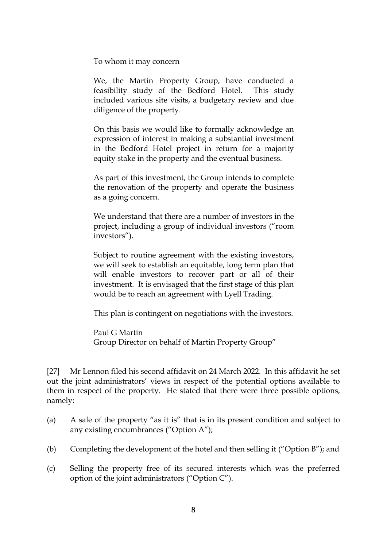To whom it may concern

We, the Martin Property Group, have conducted a feasibility study of the Bedford Hotel. This study included various site visits, a budgetary review and due diligence of the property.

On this basis we would like to formally acknowledge an expression of interest in making a substantial investment in the Bedford Hotel project in return for a majority equity stake in the property and the eventual business.

As part of this investment, the Group intends to complete the renovation of the property and operate the business as a going concern.

We understand that there are a number of investors in the project, including a group of individual investors ("room investors").

Subject to routine agreement with the existing investors, we will seek to establish an equitable, long term plan that will enable investors to recover part or all of their investment. It is envisaged that the first stage of this plan would be to reach an agreement with Lyell Trading.

This plan is contingent on negotiations with the investors.

Paul G Martin Group Director on behalf of Martin Property Group"

[27] Mr Lennon filed his second affidavit on 24 March 2022. In this affidavit he set out the joint administrators' views in respect of the potential options available to them in respect of the property. He stated that there were three possible options, namely:

- (a) A sale of the property "as it is" that is in its present condition and subject to any existing encumbrances ("Option A");
- (b) Completing the development of the hotel and then selling it ("Option B"); and
- (c) Selling the property free of its secured interests which was the preferred option of the joint administrators ("Option C").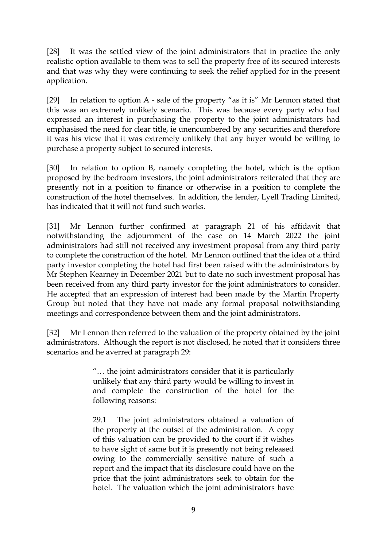[28] It was the settled view of the joint administrators that in practice the only realistic option available to them was to sell the property free of its secured interests and that was why they were continuing to seek the relief applied for in the present application.

[29] In relation to option A - sale of the property "as it is" Mr Lennon stated that this was an extremely unlikely scenario. This was because every party who had expressed an interest in purchasing the property to the joint administrators had emphasised the need for clear title, ie unencumbered by any securities and therefore it was his view that it was extremely unlikely that any buyer would be willing to purchase a property subject to secured interests.

[30] In relation to option B, namely completing the hotel, which is the option proposed by the bedroom investors, the joint administrators reiterated that they are presently not in a position to finance or otherwise in a position to complete the construction of the hotel themselves. In addition, the lender, Lyell Trading Limited, has indicated that it will not fund such works.

[31] Mr Lennon further confirmed at paragraph 21 of his affidavit that notwithstanding the adjournment of the case on 14 March 2022 the joint administrators had still not received any investment proposal from any third party to complete the construction of the hotel. Mr Lennon outlined that the idea of a third party investor completing the hotel had first been raised with the administrators by Mr Stephen Kearney in December 2021 but to date no such investment proposal has been received from any third party investor for the joint administrators to consider. He accepted that an expression of interest had been made by the Martin Property Group but noted that they have not made any formal proposal notwithstanding meetings and correspondence between them and the joint administrators.

[32] Mr Lennon then referred to the valuation of the property obtained by the joint administrators. Although the report is not disclosed, he noted that it considers three scenarios and he averred at paragraph 29:

> "… the joint administrators consider that it is particularly unlikely that any third party would be willing to invest in and complete the construction of the hotel for the following reasons:

> 29.1 The joint administrators obtained a valuation of the property at the outset of the administration. A copy of this valuation can be provided to the court if it wishes to have sight of same but it is presently not being released owing to the commercially sensitive nature of such a report and the impact that its disclosure could have on the price that the joint administrators seek to obtain for the hotel. The valuation which the joint administrators have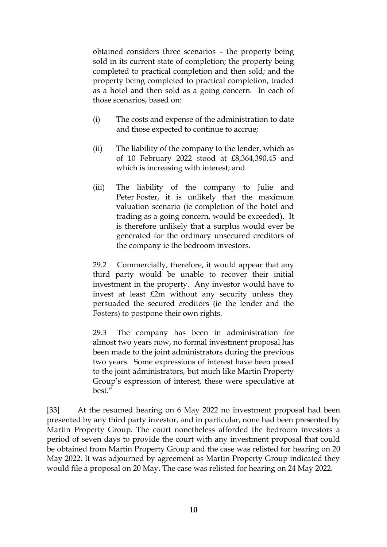obtained considers three scenarios – the property being sold in its current state of completion; the property being completed to practical completion and then sold; and the property being completed to practical completion, traded as a hotel and then sold as a going concern. In each of those scenarios, based on:

- (i) The costs and expense of the administration to date and those expected to continue to accrue;
- (ii) The liability of the company to the lender, which as of 10 February 2022 stood at £8,364,390.45 and which is increasing with interest; and
- (iii) The liability of the company to Julie and Peter Foster, it is unlikely that the maximum valuation scenario (ie completion of the hotel and trading as a going concern, would be exceeded). It is therefore unlikely that a surplus would ever be generated for the ordinary unsecured creditors of the company ie the bedroom investors.

29.2 Commercially, therefore, it would appear that any third party would be unable to recover their initial investment in the property. Any investor would have to invest at least £2m without any security unless they persuaded the secured creditors (ie the lender and the Fosters) to postpone their own rights.

29.3 The company has been in administration for almost two years now, no formal investment proposal has been made to the joint administrators during the previous two years. Some expressions of interest have been posed to the joint administrators, but much like Martin Property Group's expression of interest, these were speculative at best."

[33] At the resumed hearing on 6 May 2022 no investment proposal had been presented by any third party investor, and in particular, none had been presented by Martin Property Group. The court nonetheless afforded the bedroom investors a period of seven days to provide the court with any investment proposal that could be obtained from Martin Property Group and the case was relisted for hearing on 20 May 2022. It was adjourned by agreement as Martin Property Group indicated they would file a proposal on 20 May. The case was relisted for hearing on 24 May 2022.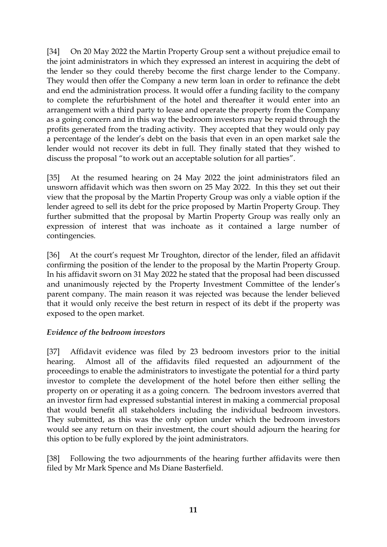[34] On 20 May 2022 the Martin Property Group sent a without prejudice email to the joint administrators in which they expressed an interest in acquiring the debt of the lender so they could thereby become the first charge lender to the Company. They would then offer the Company a new term loan in order to refinance the debt and end the administration process. It would offer a funding facility to the company to complete the refurbishment of the hotel and thereafter it would enter into an arrangement with a third party to lease and operate the property from the Company as a going concern and in this way the bedroom investors may be repaid through the profits generated from the trading activity. They accepted that they would only pay a percentage of the lender's debt on the basis that even in an open market sale the lender would not recover its debt in full. They finally stated that they wished to discuss the proposal "to work out an acceptable solution for all parties".

[35] At the resumed hearing on 24 May 2022 the joint administrators filed an unsworn affidavit which was then sworn on 25 May 2022. In this they set out their view that the proposal by the Martin Property Group was only a viable option if the lender agreed to sell its debt for the price proposed by Martin Property Group. They further submitted that the proposal by Martin Property Group was really only an expression of interest that was inchoate as it contained a large number of contingencies.

[36] At the court's request Mr Troughton, director of the lender, filed an affidavit confirming the position of the lender to the proposal by the Martin Property Group. In his affidavit sworn on 31 May 2022 he stated that the proposal had been discussed and unanimously rejected by the Property Investment Committee of the lender's parent company. The main reason it was rejected was because the lender believed that it would only receive the best return in respect of its debt if the property was exposed to the open market.

# *Evidence of the bedroom investors*

[37] Affidavit evidence was filed by 23 bedroom investors prior to the initial hearing. Almost all of the affidavits filed requested an adjournment of the proceedings to enable the administrators to investigate the potential for a third party investor to complete the development of the hotel before then either selling the property on or operating it as a going concern. The bedroom investors averred that an investor firm had expressed substantial interest in making a commercial proposal that would benefit all stakeholders including the individual bedroom investors. They submitted, as this was the only option under which the bedroom investors would see any return on their investment, the court should adjourn the hearing for this option to be fully explored by the joint administrators.

[38] Following the two adjournments of the hearing further affidavits were then filed by Mr Mark Spence and Ms Diane Basterfield.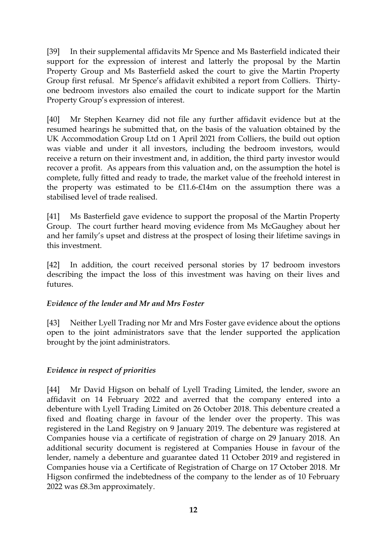[39] In their supplemental affidavits Mr Spence and Ms Basterfield indicated their support for the expression of interest and latterly the proposal by the Martin Property Group and Ms Basterfield asked the court to give the Martin Property Group first refusal. Mr Spence's affidavit exhibited a report from Colliers. Thirtyone bedroom investors also emailed the court to indicate support for the Martin Property Group's expression of interest.

[40] Mr Stephen Kearney did not file any further affidavit evidence but at the resumed hearings he submitted that, on the basis of the valuation obtained by the UK Accommodation Group Ltd on 1 April 2021 from Colliers, the build out option was viable and under it all investors, including the bedroom investors, would receive a return on their investment and, in addition, the third party investor would recover a profit. As appears from this valuation and, on the assumption the hotel is complete, fully fitted and ready to trade, the market value of the freehold interest in the property was estimated to be £11.6-£14m on the assumption there was a stabilised level of trade realised.

[41] Ms Basterfield gave evidence to support the proposal of the Martin Property Group. The court further heard moving evidence from Ms McGaughey about her and her family's upset and distress at the prospect of losing their lifetime savings in this investment.

[42] In addition, the court received personal stories by 17 bedroom investors describing the impact the loss of this investment was having on their lives and futures.

# *Evidence of the lender and Mr and Mrs Foster*

[43] Neither Lyell Trading nor Mr and Mrs Foster gave evidence about the options open to the joint administrators save that the lender supported the application brought by the joint administrators.

# *Evidence in respect of priorities*

[44] Mr David Higson on behalf of Lyell Trading Limited, the lender, swore an affidavit on 14 February 2022 and averred that the company entered into a debenture with Lyell Trading Limited on 26 October 2018. This debenture created a fixed and floating charge in favour of the lender over the property. This was registered in the Land Registry on 9 January 2019. The debenture was registered at Companies house via a certificate of registration of charge on 29 January 2018. An additional security document is registered at Companies House in favour of the lender, namely a debenture and guarantee dated 11 October 2019 and registered in Companies house via a Certificate of Registration of Charge on 17 October 2018. Mr Higson confirmed the indebtedness of the company to the lender as of 10 February 2022 was £8.3m approximately.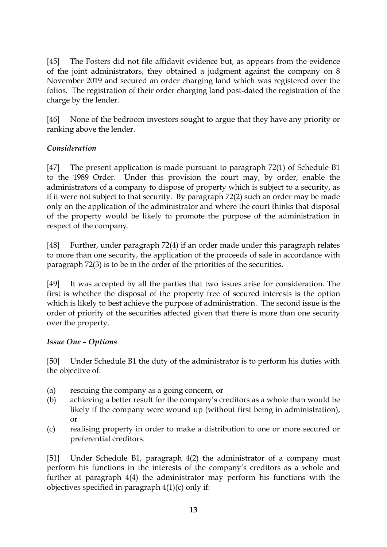[45] The Fosters did not file affidavit evidence but, as appears from the evidence of the joint administrators, they obtained a judgment against the company on 8 November 2019 and secured an order charging land which was registered over the folios. The registration of their order charging land post-dated the registration of the charge by the lender.

[46] None of the bedroom investors sought to argue that they have any priority or ranking above the lender.

# *Consideration*

[47] The present application is made pursuant to paragraph 72(1) of Schedule B1 to the 1989 Order. Under this provision the court may, by order, enable the administrators of a company to dispose of property which is subject to a security, as if it were not subject to that security. By paragraph 72(2) such an order may be made only on the application of the administrator and where the court thinks that disposal of the property would be likely to promote the purpose of the administration in respect of the company.

[48] Further, under paragraph 72(4) if an order made under this paragraph relates to more than one security, the application of the proceeds of sale in accordance with paragraph 72(3) is to be in the order of the priorities of the securities.

[49] It was accepted by all the parties that two issues arise for consideration. The first is whether the disposal of the property free of secured interests is the option which is likely to best achieve the purpose of administration. The second issue is the order of priority of the securities affected given that there is more than one security over the property.

# *Issue One – Options*

[50] Under Schedule B1 the duty of the administrator is to perform his duties with the objective of:

- (a) rescuing the company as a going concern, or
- (b) achieving a better result for the company's creditors as a whole than would be likely if the company were wound up (without first being in administration), or
- (c) realising property in order to make a distribution to one or more secured or preferential creditors.

[51] Under Schedule B1, paragraph 4(2) the administrator of a company must perform his functions in the interests of the company's creditors as a whole and further at paragraph 4(4) the administrator may perform his functions with the objectives specified in paragraph 4(1)(c) only if: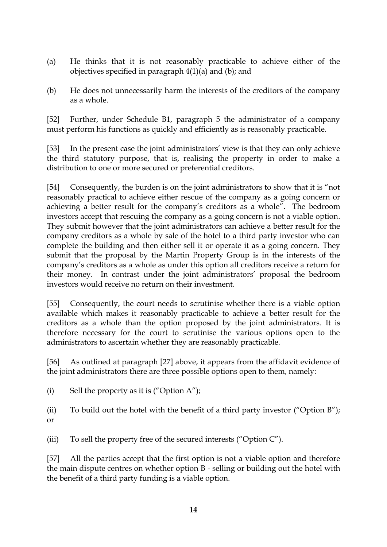- (a) He thinks that it is not reasonably practicable to achieve either of the objectives specified in paragraph 4(1)(a) and (b); and
- (b) He does not unnecessarily harm the interests of the creditors of the company as a whole.

[52] Further, under Schedule B1, paragraph 5 the administrator of a company must perform his functions as quickly and efficiently as is reasonably practicable.

[53] In the present case the joint administrators' view is that they can only achieve the third statutory purpose, that is, realising the property in order to make a distribution to one or more secured or preferential creditors.

[54] Consequently, the burden is on the joint administrators to show that it is "not reasonably practical to achieve either rescue of the company as a going concern or achieving a better result for the company's creditors as a whole". The bedroom investors accept that rescuing the company as a going concern is not a viable option. They submit however that the joint administrators can achieve a better result for the company creditors as a whole by sale of the hotel to a third party investor who can complete the building and then either sell it or operate it as a going concern. They submit that the proposal by the Martin Property Group is in the interests of the company's creditors as a whole as under this option all creditors receive a return for their money. In contrast under the joint administrators' proposal the bedroom investors would receive no return on their investment.

[55] Consequently, the court needs to scrutinise whether there is a viable option available which makes it reasonably practicable to achieve a better result for the creditors as a whole than the option proposed by the joint administrators. It is therefore necessary for the court to scrutinise the various options open to the administrators to ascertain whether they are reasonably practicable.

[56] As outlined at paragraph [27] above, it appears from the affidavit evidence of the joint administrators there are three possible options open to them, namely:

(i) Sell the property as it is ("Option  $A$ ");

(ii) To build out the hotel with the benefit of a third party investor ("Option B"); or

(iii) To sell the property free of the secured interests ("Option C").

[57] All the parties accept that the first option is not a viable option and therefore the main dispute centres on whether option B - selling or building out the hotel with the benefit of a third party funding is a viable option.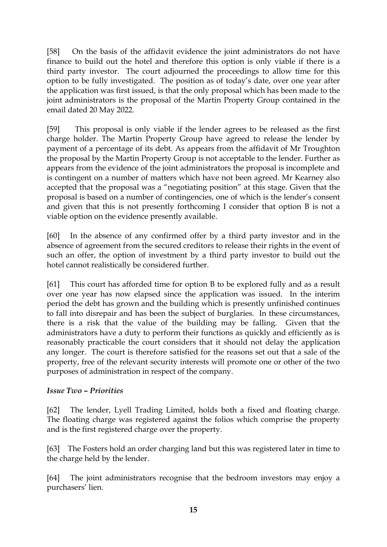[58] On the basis of the affidavit evidence the joint administrators do not have finance to build out the hotel and therefore this option is only viable if there is a third party investor. The court adjourned the proceedings to allow time for this option to be fully investigated. The position as of today's date, over one year after the application was first issued, is that the only proposal which has been made to the joint administrators is the proposal of the Martin Property Group contained in the email dated 20 May 2022.

[59] This proposal is only viable if the lender agrees to be released as the first charge holder. The Martin Property Group have agreed to release the lender by payment of a percentage of its debt. As appears from the affidavit of Mr Troughton the proposal by the Martin Property Group is not acceptable to the lender. Further as appears from the evidence of the joint administrators the proposal is incomplete and is contingent on a number of matters which have not been agreed. Mr Kearney also accepted that the proposal was a "negotiating position" at this stage. Given that the proposal is based on a number of contingencies, one of which is the lender's consent and given that this is not presently forthcoming I consider that option B is not a viable option on the evidence presently available.

[60] In the absence of any confirmed offer by a third party investor and in the absence of agreement from the secured creditors to release their rights in the event of such an offer, the option of investment by a third party investor to build out the hotel cannot realistically be considered further.

[61] This court has afforded time for option B to be explored fully and as a result over one year has now elapsed since the application was issued. In the interim period the debt has grown and the building which is presently unfinished continues to fall into disrepair and has been the subject of burglaries. In these circumstances, there is a risk that the value of the building may be falling. Given that the administrators have a duty to perform their functions as quickly and efficiently as is reasonably practicable the court considers that it should not delay the application any longer. The court is therefore satisfied for the reasons set out that a sale of the property, free of the relevant security interests will promote one or other of the two purposes of administration in respect of the company.

# *Issue Two – Priorities*

[62] The lender, Lyell Trading Limited, holds both a fixed and floating charge. The floating charge was registered against the folios which comprise the property and is the first registered charge over the property.

[63] The Fosters hold an order charging land but this was registered later in time to the charge held by the lender.

[64] The joint administrators recognise that the bedroom investors may enjoy a purchasers' lien.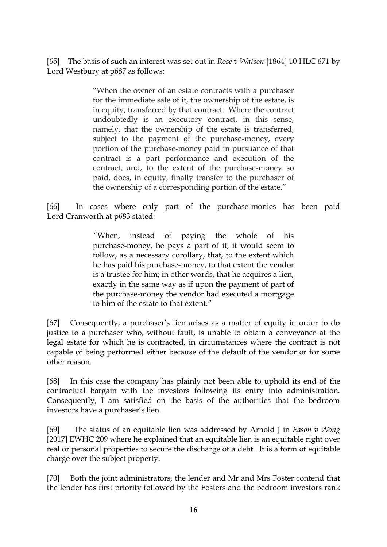[65] The basis of such an interest was set out in *Rose v Watson* [1864] 10 HLC 671 by Lord Westbury at p687 as follows:

> "When the owner of an estate contracts with a purchaser for the immediate sale of it, the ownership of the estate, is in equity, transferred by that contract. Where the contract undoubtedly is an executory contract, in this sense, namely, that the ownership of the estate is transferred, subject to the payment of the purchase-money, every portion of the purchase-money paid in pursuance of that contract is a part performance and execution of the contract, and, to the extent of the purchase-money so paid, does, in equity, finally transfer to the purchaser of the ownership of a corresponding portion of the estate."

[66] In cases where only part of the purchase-monies has been paid Lord Cranworth at p683 stated:

> "When, instead of paying the whole of his purchase-money, he pays a part of it, it would seem to follow, as a necessary corollary, that, to the extent which he has paid his purchase-money, to that extent the vendor is a trustee for him; in other words, that he acquires a lien, exactly in the same way as if upon the payment of part of the purchase-money the vendor had executed a mortgage to him of the estate to that extent."

[67] Consequently, a purchaser's lien arises as a matter of equity in order to do justice to a purchaser who, without fault, is unable to obtain a conveyance at the legal estate for which he is contracted, in circumstances where the contract is not capable of being performed either because of the default of the vendor or for some other reason.

[68] In this case the company has plainly not been able to uphold its end of the contractual bargain with the investors following its entry into administration. Consequently, I am satisfied on the basis of the authorities that the bedroom investors have a purchaser's lien.

[69] The status of an equitable lien was addressed by Arnold J in *Eason v Wong* [2017] EWHC 209 where he explained that an equitable lien is an equitable right over real or personal properties to secure the discharge of a debt. It is a form of equitable charge over the subject property.

[70] Both the joint administrators, the lender and Mr and Mrs Foster contend that the lender has first priority followed by the Fosters and the bedroom investors rank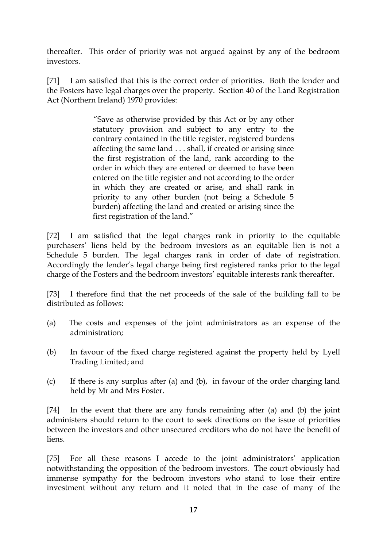thereafter. This order of priority was not argued against by any of the bedroom investors.

[71] I am satisfied that this is the correct order of priorities. Both the lender and the Fosters have legal charges over the property. Section 40 of the Land Registration Act (Northern Ireland) 1970 provides:

> "Save as otherwise provided by this Act or by any other statutory provision and subject to any entry to the contrary contained in the title register, registered burdens affecting the same land . . . shall, if created or arising since the first registration of the land, rank according to the order in which they are entered or deemed to have been entered on the title register and not according to the order in which they are created or arise, and shall rank in priority to any other burden (not being a Schedule 5 burden) affecting the land and created or arising since the first registration of the land."

[72] I am satisfied that the legal charges rank in priority to the equitable purchasers' liens held by the bedroom investors as an equitable lien is not a Schedule 5 burden. The legal charges rank in order of date of registration. Accordingly the lender's legal charge being first registered ranks prior to the legal charge of the Fosters and the bedroom investors' equitable interests rank thereafter.

[73] I therefore find that the net proceeds of the sale of the building fall to be distributed as follows:

- (a) The costs and expenses of the joint administrators as an expense of the administration;
- (b) In favour of the fixed charge registered against the property held by Lyell Trading Limited; and
- (c) If there is any surplus after (a) and (b), in favour of the order charging land held by Mr and Mrs Foster.

[74] In the event that there are any funds remaining after (a) and (b) the joint administers should return to the court to seek directions on the issue of priorities between the investors and other unsecured creditors who do not have the benefit of liens.

[75] For all these reasons I accede to the joint administrators' application notwithstanding the opposition of the bedroom investors. The court obviously had immense sympathy for the bedroom investors who stand to lose their entire investment without any return and it noted that in the case of many of the